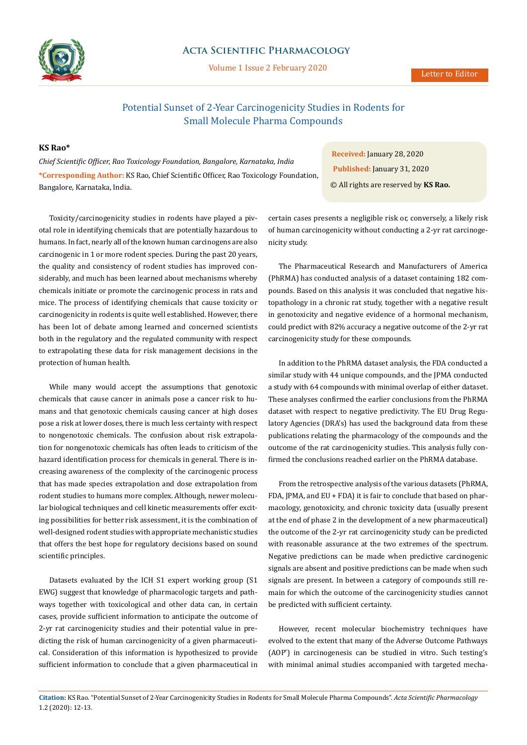

## **Acta Scientific Pharmacology**

Volume 1 Issue 2 February 2020

### Letter to Editor

# Potential Sunset of 2-Year Carcinogenicity Studies in Rodents for Small Molecule Pharma Compounds

## **KS Rao\***

*Chief Scientific Officer, Rao Toxicology Foundation, Bangalore, Karnataka, India* **\*Corresponding Author:** KS Rao, Chief Scientific Officer, Rao Toxicology Foundation, Bangalore, Karnataka, India.

Toxicity/carcinogenicity studies in rodents have played a pivotal role in identifying chemicals that are potentially hazardous to humans. In fact, nearly all of the known human carcinogens are also carcinogenic in 1 or more rodent species. During the past 20 years, the quality and consistency of rodent studies has improved considerably, and much has been learned about mechanisms whereby chemicals initiate or promote the carcinogenic process in rats and mice. The process of identifying chemicals that cause toxicity or carcinogenicity in rodents is quite well established. However, there has been lot of debate among learned and concerned scientists both in the regulatory and the regulated community with respect to extrapolating these data for risk management decisions in the protection of human health.

While many would accept the assumptions that genotoxic chemicals that cause cancer in animals pose a cancer risk to humans and that genotoxic chemicals causing cancer at high doses pose a risk at lower doses, there is much less certainty with respect to nongenotoxic chemicals. The confusion about risk extrapolation for nongenotoxic chemicals has often leads to criticism of the hazard identification process for chemicals in general. There is increasing awareness of the complexity of the carcinogenic process that has made species extrapolation and dose extrapolation from rodent studies to humans more complex. Although, newer molecular biological techniques and cell kinetic measurements offer exciting possibilities for better risk assessment, it is the combination of well-designed rodent studies with appropriate mechanistic studies that offers the best hope for regulatory decisions based on sound scientific principles.

Datasets evaluated by the ICH S1 expert working group (S1 EWG) suggest that knowledge of pharmacologic targets and pathways together with toxicological and other data can, in certain cases, provide sufficient information to anticipate the outcome of 2-yr rat carcinogenicity studies and their potential value in predicting the risk of human carcinogenicity of a given pharmaceutical. Consideration of this information is hypothesized to provide sufficient information to conclude that a given pharmaceutical in

**Received:** January 28, 2020 **Published:** January 31, 2020 © All rights are reserved by **KS Rao.**

certain cases presents a negligible risk or, conversely, a likely risk of human carcinogenicity without conducting a 2-yr rat carcinogenicity study.

The Pharmaceutical Research and Manufacturers of America (PhRMA) has conducted analysis of a dataset containing 182 compounds. Based on this analysis it was concluded that negative histopathology in a chronic rat study, together with a negative result in genotoxicity and negative evidence of a hormonal mechanism, could predict with 82% accuracy a negative outcome of the 2-yr rat carcinogenicity study for these compounds.

In addition to the PhRMA dataset analysis, the FDA conducted a similar study with 44 unique compounds, and the JPMA conducted a study with 64 compounds with minimal overlap of either dataset. These analyses confirmed the earlier conclusions from the PhRMA dataset with respect to negative predictivity. The EU Drug Regulatory Agencies (DRA's) has used the background data from these publications relating the pharmacology of the compounds and the outcome of the rat carcinogenicity studies. This analysis fully confirmed the conclusions reached earlier on the PhRMA database.

From the retrospective analysis of the various datasets (PhRMA, FDA, JPMA, and EU + FDA) it is fair to conclude that based on pharmacology, genotoxicity, and chronic toxicity data (usually present at the end of phase 2 in the development of a new pharmaceutical) the outcome of the 2-yr rat carcinogenicity study can be predicted with reasonable assurance at the two extremes of the spectrum. Negative predictions can be made when predictive carcinogenic signals are absent and positive predictions can be made when such signals are present. In between a category of compounds still remain for which the outcome of the carcinogenicity studies cannot be predicted with sufficient certainty.

However, recent molecular biochemistry techniques have evolved to the extent that many of the Adverse Outcome Pathways (AOP') in carcinogenesis can be studied in vitro. Such testing's with minimal animal studies accompanied with targeted mecha